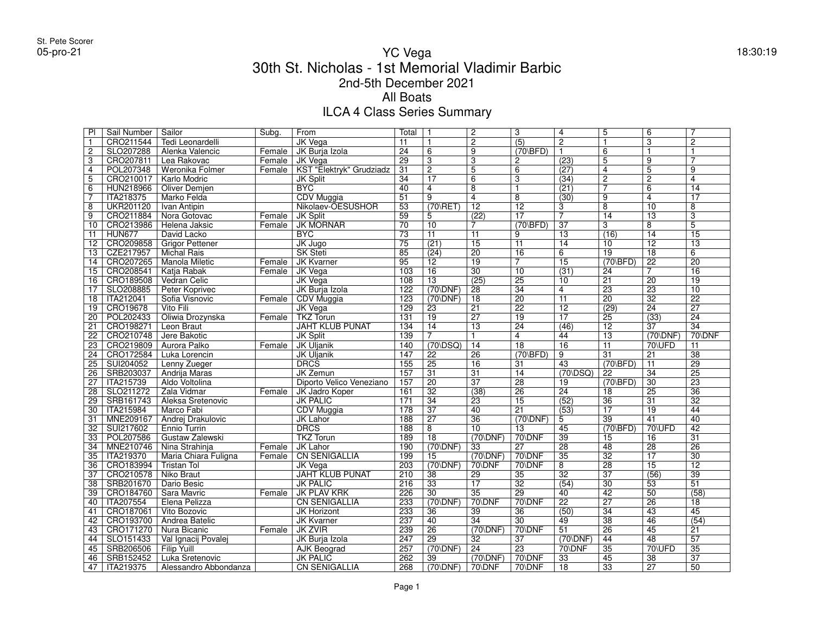## YC Vega 18:30:19 30th St. Nicholas - 1st Memorial Vladimir Barbic2nd-5th December 2021All BoatsILCA 4 Class Series Summary

| PI              | Sail Number      | Sailor                     | Subg.  | From                     | Total            |                     | $\overline{2}$       | $\overline{3}$             | $\overline{4}$      | $\overline{5}$             | 6               | $\overline{7}$  |
|-----------------|------------------|----------------------------|--------|--------------------------|------------------|---------------------|----------------------|----------------------------|---------------------|----------------------------|-----------------|-----------------|
| $\mathbf{1}$    | CRO211544        | Tedi Leonardelli           |        | <b>JK Vega</b>           | 11               |                     | $\overline{2}$       | $\overline{(5)}$           | $\overline{2}$      | $\overline{1}$             | 3               | $\mathbf{2}$    |
| $\overline{2}$  | SLO207288        | Alenka Valencic            | Female | JK Burja Izola           | $\overline{24}$  | 6                   | $\overline{9}$       | $(70\backslash\text{BFD})$ | $\mathbf{1}$        | 6                          | $\mathbf{1}$    | $\mathbf{1}$    |
| $\overline{3}$  | CRO207811        | Lea Rakovac                | Female | JK Vega                  | $\overline{29}$  | $\overline{3}$      | $\overline{3}$       | $\overline{c}$             | (23)                | $\overline{5}$             | $\overline{9}$  | 7               |
| $\overline{4}$  | POL207348        | Weronika Folmer            | Female | KST "Elektryk" Grudziadz | 31               | $\overline{2}$      | $\overline{5}$       | 6                          | (27)                | $\overline{4}$             | 5               | $\overline{9}$  |
| $\overline{5}$  | CRO210017        | Karlo Modric               |        | <b>JK Split</b>          | 34               | $\overline{17}$     | 6                    | $\overline{3}$             | (34)                | $\overline{2}$             | $\overline{2}$  | 4               |
| $\overline{6}$  | HUN218966        | Oliver Demjen              |        | <b>BYC</b>               | $\overline{40}$  | $\overline{4}$      | $\overline{8}$       | $\overline{1}$             | (21)                | 7                          | 6               | $\overline{14}$ |
| $\overline{7}$  | <b>ITA218375</b> | Marko Felda                |        | CDV Muggia               | $\overline{51}$  | $\overline{9}$      | $\overline{4}$       | $\overline{8}$             | (30)                | $\overline{9}$             | $\overline{4}$  | $\overline{17}$ |
| $\overline{8}$  | <b>UKR201120</b> | Ivan Antipin               |        | Nikolaev-OESUSHOR        | $\overline{53}$  | $(70 \times T)$     | $\overline{12}$      | $\overline{12}$            | 3                   | $\overline{8}$             | $\overline{10}$ | 8               |
| $\overline{9}$  | CRO211884        | Nora Gotovac               | Female | <b>JK Split</b>          | $\overline{59}$  | 5                   | (22)                 | $\overline{17}$            | $\overline{7}$      | $\overline{14}$            | $\overline{13}$ | $\overline{3}$  |
| $\overline{10}$ | CRO213986        | Helena Jaksic              | Female | <b>JK MORNAR</b>         | $\overline{70}$  | $\overline{10}$     | $\overline{7}$       | $(70\backslash\text{BFD})$ | $\overline{37}$     | 3                          | $\overline{8}$  | $\overline{5}$  |
| 11              | <b>HUN677</b>    | David Lacko                |        | <b>BYC</b>               | 73               | 11                  | 11                   | 9                          | 13                  | (16)                       | $\overline{14}$ | $\overline{15}$ |
| 12              | CRO209858        | <b>Grigor Pettener</b>     |        | JK Jugo                  | $\overline{75}$  | (21)                | $\overline{15}$      | $\overline{11}$            | $\overline{14}$     | 10                         | $\overline{12}$ | $\overline{13}$ |
| 13              | CZE217957        | <b>Michal Rais</b>         |        | <b>SK Steti</b>          | 85               | (24)                | $\overline{20}$      | $\overline{16}$            | 6                   | $\overline{19}$            | $\overline{18}$ | 6               |
| 14              | CRO207265        | <b>Manola Miletic</b>      | Female | <b>JK Kvarner</b>        | 95               | 12                  | $\overline{19}$      | $\overline{7}$             | $\overline{15}$     | $(70\backslash BFD)$       | $\overline{22}$ | $\overline{20}$ |
| 15              | CRO208541        | Katia Rabak                | Female | JK Vega                  | 103              | 16                  | $\overline{30}$      | $\overline{10}$            | (31)                | 24                         | 7               | $\overline{16}$ |
| 16              | CRO189508        | <b>Vedran Celic</b>        |        | <b>JK Vega</b>           | 108              | $\overline{13}$     | (25)                 | $\overline{25}$            | 10                  | $\overline{21}$            | $\overline{20}$ | $\overline{19}$ |
| $\overline{17}$ | SLO208885        | Peter Koprivec             |        | JK Burja Izola           | 122              | $(70)$ DNF)         | $\overline{28}$      | $\overline{34}$            | $\overline{4}$      | $\overline{23}$            | $\overline{23}$ | $\overline{10}$ |
| $\overline{18}$ | ITA212041        | Sofia Visnovic             | Female | <b>CDV</b> Muggia        | 123              | $(70)$ DNF)         | $\overline{18}$      | $\overline{20}$            | $\overline{11}$     | $\overline{20}$            | $\overline{32}$ | $\overline{22}$ |
| 19              | CRO19678         | Vito Fili                  |        | <b>JK Vega</b>           | $\overline{129}$ | 23                  | $\overline{21}$      | $\overline{22}$            | $\overline{12}$     | (29)                       | $\overline{24}$ | $\overline{27}$ |
| $\overline{20}$ | POL202433        | Oliwia Drozynska           | Female | <b>TKZ Torun</b>         | 131              | $\overline{19}$     | $\overline{27}$      | $\overline{19}$            | $\overline{17}$     | $\overline{25}$            | (33)            | $\overline{24}$ |
| 21              | CRO198271        | Leon Braut                 |        | <b>JAHT KLUB PUNAT</b>   | 134              | 14                  | $\overline{13}$      | $\overline{24}$            | (46)                | 12                         | 37              | $\overline{34}$ |
| $\overline{22}$ | CRO210748        | Jere Bakotic               |        | <b>JK Split</b>          | 139              | $\overline{7}$      | $\mathbf{1}$         | $\overline{4}$             | 44                  | $\overline{13}$            | $(70)$ DNF)     | 70\DNF          |
| $\overline{23}$ | CRO219809        | Aurora Palko               | Female | <b>JK Uljanik</b>        | 140              | $(70\overline{)SQ}$ | $\overline{14}$      | $\overline{18}$            | $\overline{16}$     | $\overline{11}$            | 70\UFD          | $\overline{11}$ |
| $\overline{24}$ | CRO172584        | Luka Lorencin              |        | <b>JK Uljanik</b>        | 147              | 22                  | $\overline{26}$      | $(70\backslash BFD)$       | 9                   | $\overline{31}$            | 21              | $\overline{38}$ |
| $\overline{25}$ | SUI204052        | Lenny Zueger               |        | <b>DRCS</b>              | $\overline{155}$ | $\overline{25}$     | $\overline{16}$      | 31                         | $\overline{43}$     | $(70\backslash\text{BFD})$ | $\overline{11}$ | $\overline{29}$ |
| 26              | SRB203037        | Andrija Maras              |        | <b>JK Zemun</b>          | 157              | $\overline{31}$     | $\overline{31}$      | $\overline{14}$            | $(70\overline{)SQ}$ | $\overline{22}$            | $\overline{34}$ | $\overline{25}$ |
| $\overline{27}$ | <b>ITA215739</b> | Aldo Voltolina             |        | Diporto Velico Veneziano | 157              | $\overline{20}$     | $\overline{37}$      | $\overline{28}$            | 19                  | $(70\backslash BFD)$       | $\overline{30}$ | $\overline{23}$ |
| 28              | SLO211272        | Zala Vidmar                | Female | JK Jadro Koper           | 161              | $\overline{32}$     | (38)                 | $\overline{26}$            | $\overline{24}$     | 18                         | $\overline{25}$ | $\overline{36}$ |
| $\overline{29}$ | SRB161743        | Aleksa Sretenovic          |        | <b>JK PALIC</b>          | $\overline{171}$ | $\overline{34}$     | $\overline{23}$      | $\overline{15}$            | (52)                | $\overline{36}$            | $\overline{31}$ | $\overline{32}$ |
| $\overline{30}$ | <b>ITA215984</b> | Marco Fabi                 |        | <b>CDV</b> Muggia        | 178              | $\overline{37}$     | $\overline{40}$      | $\overline{21}$            | (53)                | $\overline{17}$            | $\overline{19}$ | 44              |
| 31              | MNE209167        | Andrej Drakulovic          |        | <b>JK Lahor</b>          | 188              | $\overline{27}$     | $\overline{36}$      | $(70)$ DNF)                | 5                   | $\overline{39}$            | 41              | $\overline{40}$ |
| $\overline{32}$ | SUI217602        | <b>Ennio Turrin</b>        |        | <b>DRCS</b>              | 188              | $\overline{8}$      | $\overline{10}$      | 13                         | 45                  | $(70\backslash\text{BFD})$ | 70\UFD          | $\overline{42}$ |
| 33              | POL207586        | Gustaw Zalewski            |        | <b>TKZ Torun</b>         | 189              | $\overline{18}$     | $(70)$ DNF)          | 70\DNF                     | $\overline{39}$     | 15                         | 16              | $\overline{31}$ |
| 34              |                  | MNE210746 Nina Strahinja   | Female | JK Lahor                 | 190              | $(70)$ DNF)         | 33                   | $\overline{27}$            | $\overline{28}$     | 48                         | $\overline{28}$ | $\overline{26}$ |
| 35              | <b>ITA219370</b> | Maria Chiara Fuligna       | Female | <b>CN SENIGALLIA</b>     | 199              | 15                  | $(70)$ DNF)          | 70\DNF                     | $\overline{35}$     | $\overline{32}$            | $\overline{17}$ | $\overline{30}$ |
| $\overline{36}$ | CRO183994        | <b>Tristan Tol</b>         |        | <b>JK Vega</b>           | 203              | $(70 \text{NDF})$   | 70\DNF               | 70\DNF                     | $\overline{8}$      | $\overline{28}$            | $\overline{15}$ | $\overline{12}$ |
| $\overline{37}$ | CRO210578        | <b>Niko Braut</b>          |        | <b>JAHT KLUB PUNAT</b>   | 210              | $\overline{38}$     | $\overline{29}$      | $\overline{35}$            | $\overline{32}$     | $\overline{37}$            | (56)            | $\overline{39}$ |
| 38              | SRB201670        | Dario Besic                |        | <b>JK PALIC</b>          | 216              | $\overline{33}$     | $\overline{17}$      | $\overline{32}$            | (54)                | $\overline{30}$            | 53              | $\overline{51}$ |
| $\overline{39}$ | CRO184760        | Sara Mavric                | Female | <b>JK PLAV KRK</b>       | 226              | 30                  | $\overline{35}$      | $\overline{29}$            | 40                  | $\overline{42}$            | $\overline{50}$ | (58)            |
| $\overline{40}$ | <b>ITA207554</b> | Elena Pelizza              |        | <b>CN SENIGALLIA</b>     | 233              | $(70 \text{NDF})$   | 70\DNF               | 70\DNF                     | $\overline{22}$     | $\overline{27}$            | $\overline{26}$ | $\overline{18}$ |
| $\overline{41}$ | CRO187061        | Vito Bozovic               |        | JK Horizont              | 233              | 36                  | $\overline{39}$      | 36                         | (50)                | $\overline{34}$            | $\overline{43}$ | 45              |
| $\overline{42}$ |                  | CRO193700   Andrea Batelic |        | <b>JK Kvarner</b>        | 237              | $\overline{40}$     | $\overline{34}$      | $\overline{30}$            | 49                  | $\overline{38}$            | 46              | (54)            |
| 43              | CRO171270        | Nura Bicanic               | Female | <b>JK ZVIR</b>           | 239              | $\overline{26}$     | $(70\overline{DNF})$ | 70\DNF                     | $\overline{51}$     | $\overline{26}$            | $\overline{45}$ | 21              |
| 44              | SLO151433        | Val Ignacij Povalej        |        | JK Burja Izola           | 247              | $\overline{29}$     | 32                   | 37                         | $(70)$ DNF)         | 44                         | 48              | $\overline{57}$ |
| 45              | SRB206506        | <b>Filip Yuill</b>         |        | <b>AJK Beograd</b>       | 257              | $(70)$ DNF)         | $\overline{24}$      | $\overline{23}$            | 70\DNF              | $\overline{35}$            | 70\UFD          | $\overline{35}$ |
| 46              | SRB152452        | Luka Sretenovic            |        | <b>JK PALIC</b>          | 262              | 39                  | $(70\overline{DNF})$ | 70\DNF                     | $\overline{33}$     | 45                         | $\overline{38}$ | $\overline{37}$ |
| 47              | <b>ITA219375</b> | Alessandro Abbondanza      |        | <b>CN SENIGALLIA</b>     | $\overline{268}$ | $(70 \text{NDF})$   | 70\DNF               | 70\DNF                     | $\overline{18}$     | $\overline{33}$            | $\overline{27}$ | $\overline{50}$ |